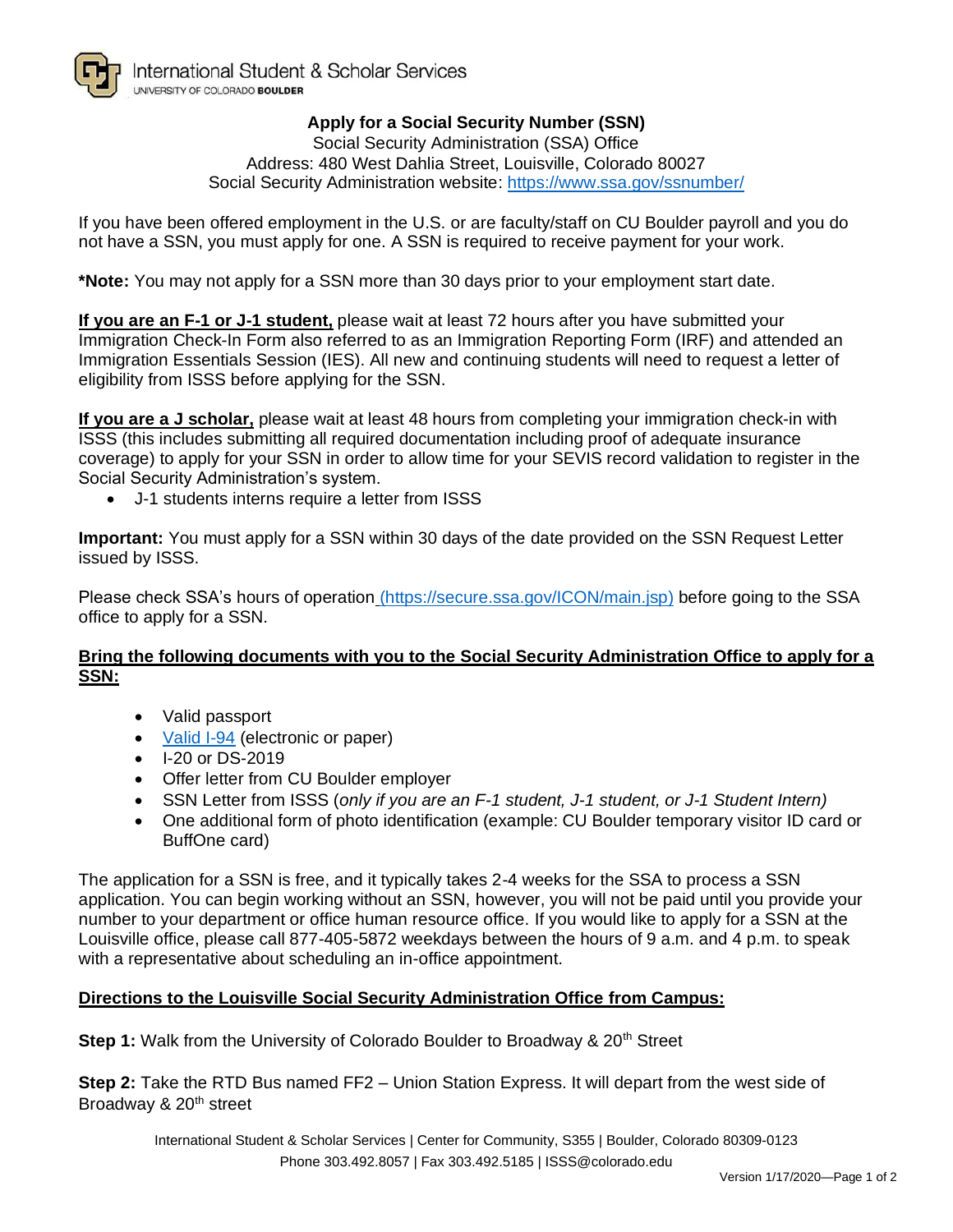

## **Apply for a Social Security Number (SSN)**

Social Security Administration (SSA) Office Address: 480 West Dahlia Street, Louisville, Colorado 80027 Social Security Administration website: https://www.ssa.gov/ssnumber/

If you have been offered employment in the U.S. or are faculty/staff on CU Boulder payroll and you do not have a SSN, you must apply for one. A SSN is required to receive payment for your work.

**\*Note:** You may not apply for a SSN more than 30 days prior to your employment start date.

**If you are an F-1 or J-1 student,** please wait at least 72 hours after you have submitted your Immigration Check-In Form also referred to as an Immigration Reporting Form (IRF) and attended an Immigration Essentials Session (IES). All new and continuing students will need to request a letter of eligibility from ISSS before applying for the SSN.

**If you are a J scholar,** please wait at least 48 hours from completing your immigration check-in with ISSS (this includes submitting all required documentation including proof of adequate insurance coverage) to apply for your SSN in order to allow time for your SEVIS record validation to register in the Social Security Administration's system.

• J-1 students interns require a letter from ISSS

**Important:** You must apply for a SSN within 30 days of the date provided on the SSN Request Letter issued by ISSS.

Please check SSA's hours of operation (https://secure.ssa.gov/ICON/main.jsp) before going to the SSA office to apply for a SSN.

#### **Bring the following documents with you to the Social Security Administration Office to apply for a SSN:**

- Valid passport
- [Valid I-94](http://www.colorado.edu/isss/sites/default/files/attached-files/printingyouri94.pdf) (electronic or paper)
- I-20 or DS-2019
- Offer letter from CU Boulder employer
- SSN Letter from ISSS (*only if you are an F-1 student, J-1 student, or J-1 Student Intern)*
- One additional form of photo identification (example: CU Boulder temporary visitor ID card or BuffOne card)

The application for a SSN is free, and it typically takes 2-4 weeks for the SSA to process a SSN application. You can begin working without an SSN, however, you will not be paid until you provide your number to your department or office human resource office. If you would like to apply for a SSN at the Louisville office, please call 877-405-5872 weekdays between the hours of 9 a.m. and 4 p.m. to speak with a representative about scheduling an in-office appointment.

#### **Directions to the Louisville Social Security Administration Office from Campus:**

**Step 1:** Walk from the University of Colorado Boulder to Broadway & 20<sup>th</sup> Street

**Step 2:** Take the RTD Bus named FF2 – Union Station Express. It will depart from the west side of Broadway & 20<sup>th</sup> street